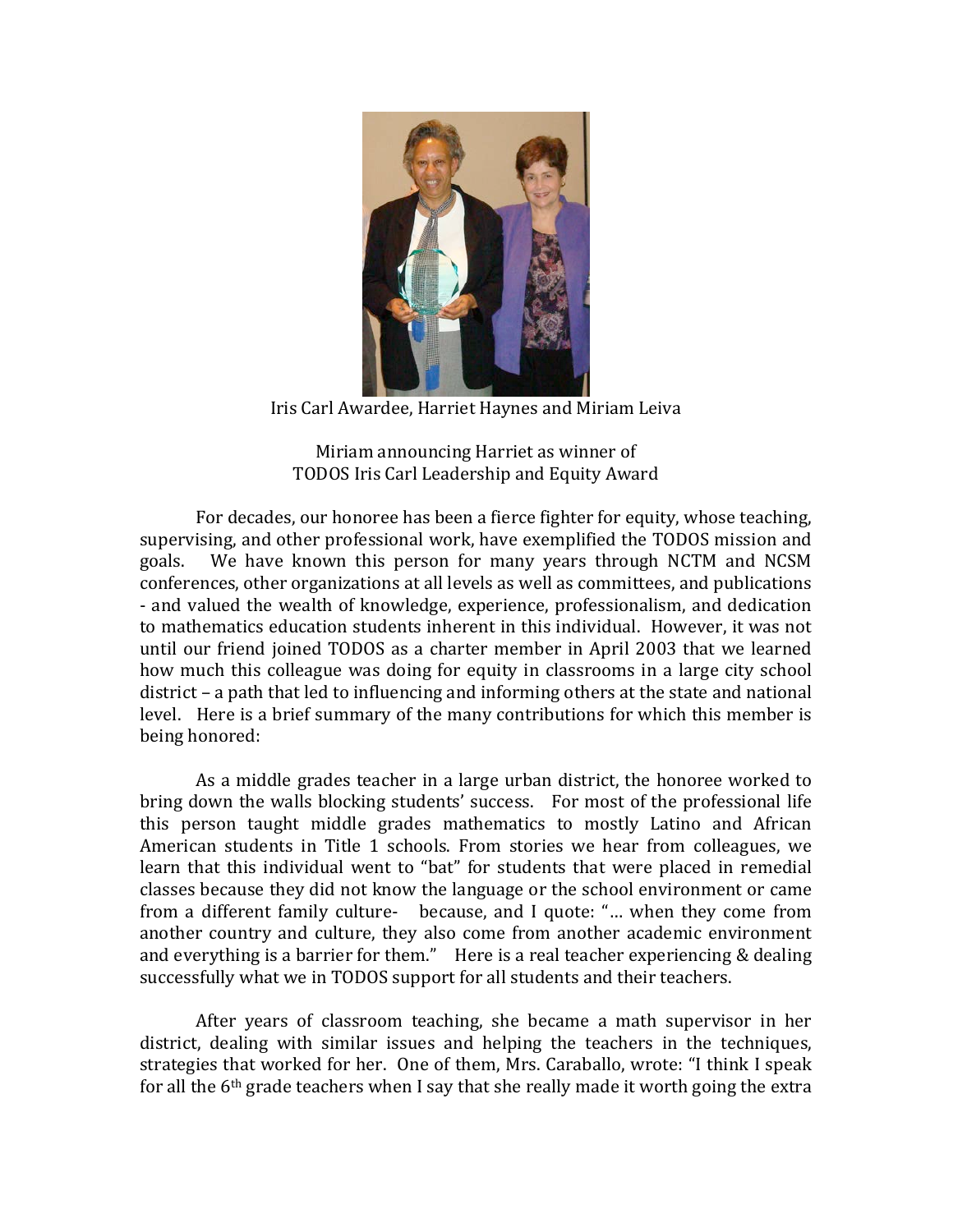

Iris Carl Awardee, Harriet Haynes and Miriam Leiva

Miriam announcing Harriet as winner of TODOS Iris Carl Leadership and Equity Award

For decades, our honoree has been a fierce fighter for equity, whose teaching, supervising, and other professional work, have exemplified the TODOS mission and goals. We have known this person for many years through NCTM and NCSM conferences, other organizations at all levels as well as committees, and publications - and valued the wealth of knowledge, experience, professionalism, and dedication to mathematics education students inherent in this individual. However, it was not until our friend joined TODOS as a charter member in April 2003 that we learned how much this colleague was doing for equity in classrooms in a large city school district – a path that led to influencing and informing others at the state and national level. Here is a brief summary of the many contributions for which this member is being honored:

As a middle grades teacher in a large urban district, the honoree worked to bring down the walls blocking students' success. For most of the professional life this person taught middle grades mathematics to mostly Latino and African American students in Title 1 schools. From stories we hear from colleagues, we learn that this individual went to "bat" for students that were placed in remedial classes because they did not know the language or the school environment or came from a different family culture- because, and I quote: "... when they come from another country and culture, they also come from another academic environment and everything is a barrier for them." Here is a real teacher experiencing  $&$  dealing successfully what we in TODOS support for all students and their teachers.

After years of classroom teaching, she became a math supervisor in her district, dealing with similar issues and helping the teachers in the techniques, strategies that worked for her. One of them, Mrs. Caraballo, wrote: "I think I speak for all the  $6<sup>th</sup>$  grade teachers when I say that she really made it worth going the extra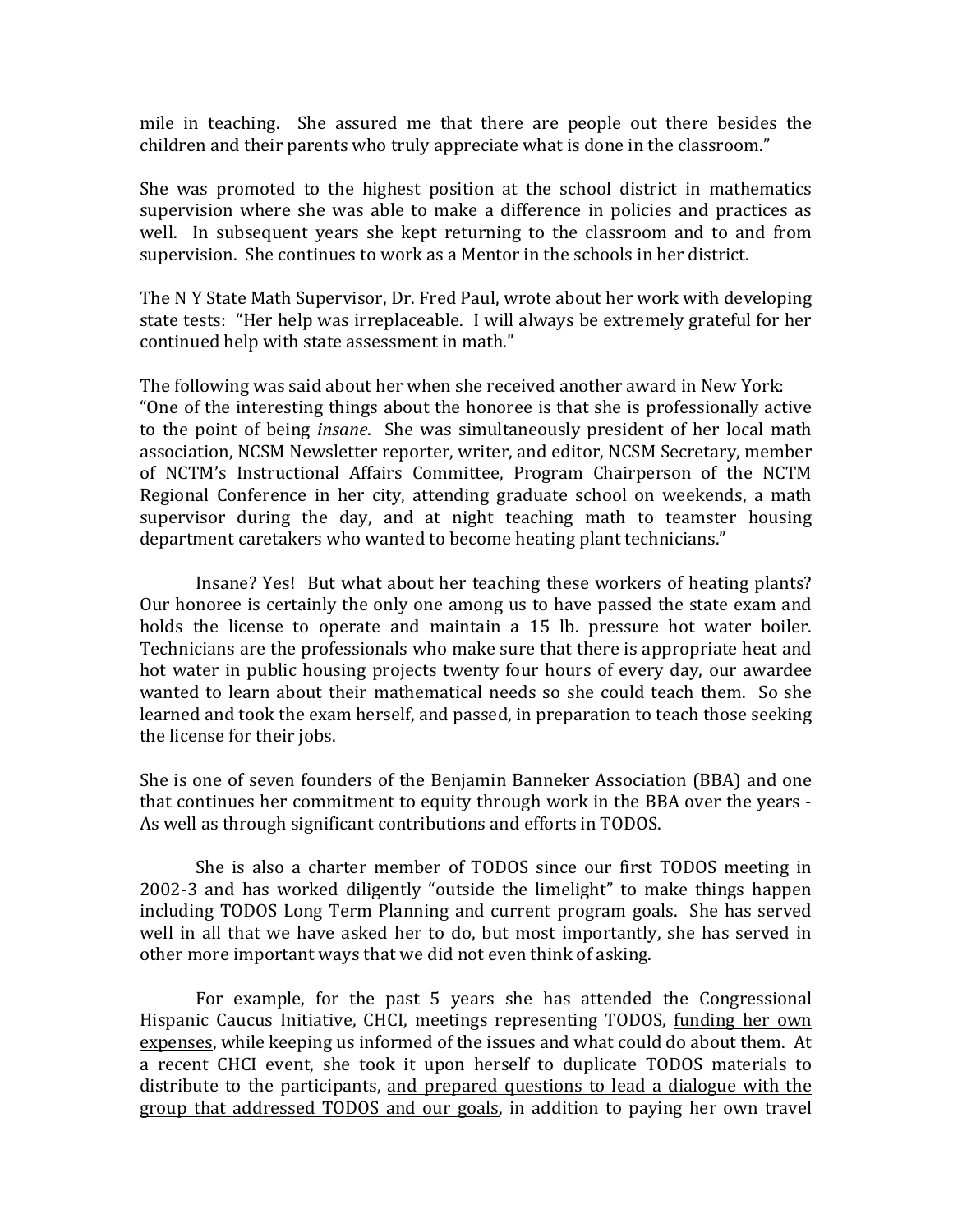mile in teaching. She assured me that there are people out there besides the children and their parents who truly appreciate what is done in the classroom."

She was promoted to the highest position at the school district in mathematics supervision where she was able to make a difference in policies and practices as well. In subsequent years she kept returning to the classroom and to and from supervision. She continues to work as a Mentor in the schools in her district.

The N Y State Math Supervisor, Dr. Fred Paul, wrote about her work with developing state tests: "Her help was irreplaceable. I will always be extremely grateful for her continued help with state assessment in math."

The following was said about her when she received another award in New York: "One of the interesting things about the honoree is that she is professionally active to the point of being *insane*. She was simultaneously president of her local math association, NCSM Newsletter reporter, writer, and editor, NCSM Secretary, member of NCTM's Instructional Affairs Committee, Program Chairperson of the NCTM Regional Conference in her city, attending graduate school on weekends, a math supervisor during the day, and at night teaching math to teamster housing department caretakers who wanted to become heating plant technicians."

Insane? Yes! But what about her teaching these workers of heating plants? Our honoree is certainly the only one among us to have passed the state exam and holds the license to operate and maintain a 15 lb. pressure hot water boiler. Technicians are the professionals who make sure that there is appropriate heat and hot water in public housing projects twenty four hours of every day, our awardee wanted to learn about their mathematical needs so she could teach them. So she learned and took the exam herself, and passed, in preparation to teach those seeking the license for their jobs.

She is one of seven founders of the Benjamin Banneker Association (BBA) and one that continues her commitment to equity through work in the BBA over the years -As well as through significant contributions and efforts in TODOS.

She is also a charter member of TODOS since our first TODOS meeting in 2002-3 and has worked diligently "outside the limelight" to make things happen including TODOS Long Term Planning and current program goals. She has served well in all that we have asked her to do, but most importantly, she has served in other more important ways that we did not even think of asking.

For example, for the past 5 years she has attended the Congressional Hispanic Caucus Initiative, CHCI, meetings representing TODOS, funding her own expenses, while keeping us informed of the issues and what could do about them. At a recent CHCI event, she took it upon herself to duplicate TODOS materials to distribute to the participants, and prepared questions to lead a dialogue with the group that addressed TODOS and our goals, in addition to paying her own travel